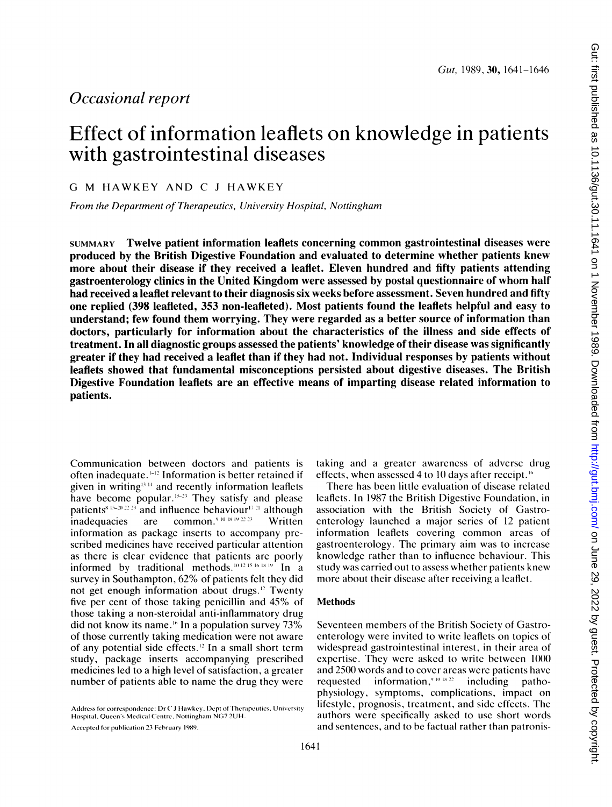## Occasional report

# Effect of information leaflets on knowledge in patients with gastrointestinal diseases

G M HAWKEY AND C <sup>J</sup> HAWKEY

From the Department of Therapeutics, University Hospital, Nottingham

SUMMARY Twelve patient information leaflets concerning common gastrointestinal diseases were produced by the British Digestive Foundation and evaluated to determine whether patients knew more about their disease if they received a leaflet. Eleven hundred and fifty patients attending gastroenterology clinics in the United Kingdom were assessed by postal questionnaire of whom half had received a leaflet relevant to their diagnosis six weeks before assessment. Seven hundred and fifty one replied (398 leafleted, 353 non-leafleted). Most patients found the leaflets helpful and easy to understand; few found them worrying. They were regarded as a better source of information than doctors, particularly for information about the characteristics of the illness and side effects of treatment. In all diagnostic groups assessed the patients' knowledge of their disease was significantly greater if they had received a leaflet than if they had not. Individual responses by patients without leaflets showed that fundamental misconceptions persisted about digestive diseases. The British Digestive Foundation leaflets are an effective means of imparting disease related information to patients.

Communication between doctors and patients is often inadequate.'-" Information is better retained if given in writing<sup> $(3+4)$ </sup> and recently information leaflets have become popular.<sup>15-23</sup> They satisfy and please patients<sup>8.15-20.22.23</sup> and influence behaviour<sup>17.21</sup> although inadequacies are common.<sup>94048492223</sup> Written information as package inserts to accompany prescribed medicines have received particular attention as there is clear evidence that patients are poorly informed by traditional methods.<sup>10.12.15.16.18.19</sup> In a survey in Southampton, 62% of patients felt they did not get enough information about drugs." Twenty five per cent of those taking penicillin and 45% of those taking a non-steroidal anti-inflammatory drug did not know its name.<sup>16</sup> In a population survey 73% of those currently taking medieation were not aware of any potential side effects." In a small short term study, package inserts accompanying prescribed medicines led to a high level of satisfaction, a greater number of patients able to name the drug they were

Accepted for publication 23 February 1989.

taking and a greater awareness of adverse drug effects, when assessed 4 to 10 days after receipt."'

There has been little evaluation of disease related leaflets. In 1987 the British Digestive Foundation, in association with the British Society of Gastroenterology launched a major series of 12 patient information leaflets covering common areas of gastroenterology. The primary aim was to increase knowledge rather than to influence behaviour. This study was carried out to assess whether patients knew more about their disease after receiving a leaflet.

## Methods

Seventeen members of the British Society of Gastroenterology were invited to write leaflets on topics of widespread gastrointestinal interest, in their area of expertise. They were asked to write between  $1000$ and 2500 words and to cover areas were patients have requested information.<sup> $9101822$ </sup> including pathophysiology, symptoms, complications, impact on lifestyle, prognosis, treatment, and side effects. The authors were specifically asked to use short words and sentences, and to be factual rather than patronis-

Address for correspondence: Dr C J Hawkey, Dept of Therapeutics, University Hospital, Queen's Medical Centre, Nottingham NG7 2UH.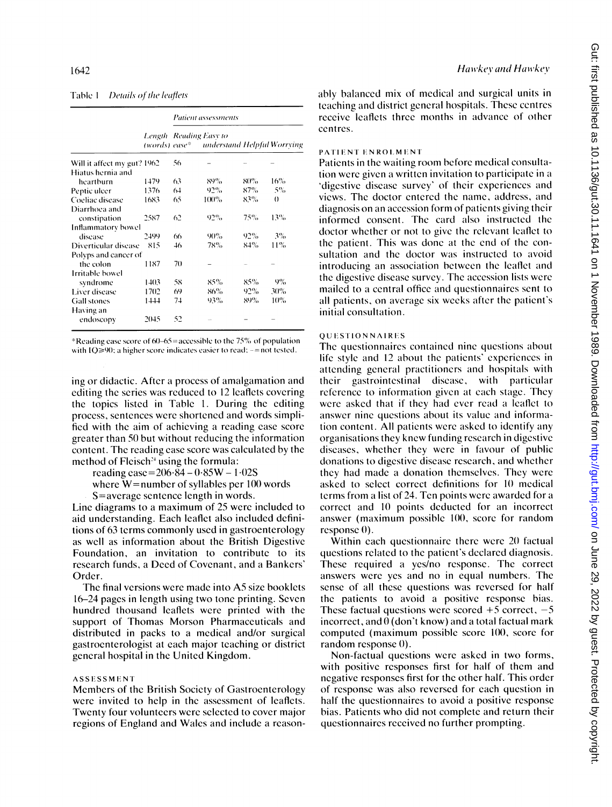## Table 1 Details of the leaflets

|                             |      | Patient assessments    |                                           |     |          |  |
|-----------------------------|------|------------------------|-------------------------------------------|-----|----------|--|
|                             |      | Length Reading Easy to | (words) ease* anderstand Helpful Worrving |     |          |  |
| Will it affect my gut? 1962 |      | 56                     |                                           |     |          |  |
| Hiatus hernia and           |      |                        |                                           |     |          |  |
| heartburn                   | 1479 | 63                     | 89%                                       | 80% | 16%      |  |
| Peptic ulcer                | 1376 | 64                     | 92%                                       | 87% | 5%       |  |
| Coeliac disease             | 1683 | 65                     | $100\%$                                   | 83% | $\theta$ |  |
| Diarrhoea and               |      |                        |                                           |     |          |  |
| constipation                | 2587 | 62                     | 92%                                       | 75% | 13%      |  |
| Inflammatory bowel          |      |                        |                                           |     |          |  |
| disease                     | 2499 | 66                     | 90%                                       | 92% | 3%       |  |
| Diverticular disease        | 815  | 46                     | 78%                                       | 84% | 11%      |  |
| Polyps and cancer of        |      |                        |                                           |     |          |  |
| the colon                   | 1187 | 70                     |                                           |     |          |  |
| Irritable bowel             |      |                        |                                           |     |          |  |
| syndrome                    | 1403 | 58                     | 85%                                       | 85% | 9%       |  |
| Liver disease               | 1702 | 69                     | 86%                                       | 92% | 30%      |  |
| <b>Gall stones</b>          | 1444 | 74                     | 93%                                       | 89% | 10%      |  |
| Having an                   |      |                        |                                           |     |          |  |
| endoscopy                   | 2045 | 52                     |                                           |     |          |  |

\*Reading ease score of 60–65 = accessible to the 75% of population with  $IQ \ge 90$ ; a higher score indicates easier to read;  $-$ =not tested.

ing or didactic. After a process of amalgamation and editing the series was reduced to 12 leaflets covering the topics listed in Table 1. During the editing process, sentences were shortened and words simplified with the aim of achieving a reading case score greater than 50 but without reducing the information content. The reading case score was calculated by the method of Fleisch<sup>24</sup> using the formula:

reading ease= $206.84 - 0.85W - 1.02S$ 

where  $W$ =number of syllables per 100 words S=average sentence length in words.

Line diagrams to a maximum of 25 were included to aid understanding. Each leaflet also included definitions of 63 terms commonly used in gastroenterology as well as information about the British Digestive Foundation, an invitation to contribute to its research funds, a Deed of Covenant, and a Bankers' Order.

The final versions were made into A5 size booklets 16–24 pages in length using two tone printing. Seven hundred thousand leaflets were printed with the support of Thomas Morson Pharmaceuticals and distributed in packs to a medical and/or surgical gastroenterologist at each major teaching or district general hospital in the United Kingdom.

#### **ASSESSMENT**

Members of the British Society of Gastroenterology were invited to help in the assessment of leaflets. Twenty four volunteers were selected to cover major regions of England and Wales and include a reasonably balanced mix of medical and surgical units in teaching and district general hospitals. These centres receive leaflets three months in advance of other centres.

## PATIENT ENROLMENT

Patients in the waiting room before medical consultation were given a written invitation to participate in a digestive disease survey' of their experiences and views. The doctor entered the name, address, and diagnosis on an accession form of patients giving their informed consent. The card also instructed the doctor whether or not to give the relevant leaflet to the patient. This was done at the end of the consultation and the doctor was instructed to avoid introducing an association between the leaflet and the digestive disease survey. The accession lists were mailed to a central office and questionnaires sent to all patients, on average six weeks after the patient's initial consultation.

## **OUESTIONNAIRES**

The questionnaires contained nine questions about life style and 12 about the patients' experiences in attending general practitioners and hospitals with their gastrointestinal disease, with particular reference to information given at each stage. They were asked that if they had ever read a leaflet to answer nine questions about its value and information content. All patients were asked to identify any organisations they knew funding research in digestive diseases, whether they were in favour of public donations to digestive disease research, and whether they had made a donation themselves. They were asked to select correct definitions for 10 medical terms from a list of 24. Ten points were awarded for a correct and 10 points deducted for an incorrect answer (maximum possible 100, score for random  $response(0)$ .

Within each questionnaire there were 20 factual questions related to the patient's declared diagnosis. These required a yes/no response. The correct answers were yes and no in equal numbers. The sense of all these questions was reversed for half the patients to avoid a positive response bias. These factual questions were scored  $+5$  correct,  $-5$ incorrect, and  $\theta$  (don't know) and a total factual mark computed (maximum possible score 100, score for random response 0).

Non-factual questions were asked in two forms, with positive responses first for half of them and negative responses first for the other half. This order of response was also reversed for each question in half the questionnaires to avoid a positive response bias. Patients who did not complete and return their questionnaires received no further prompting.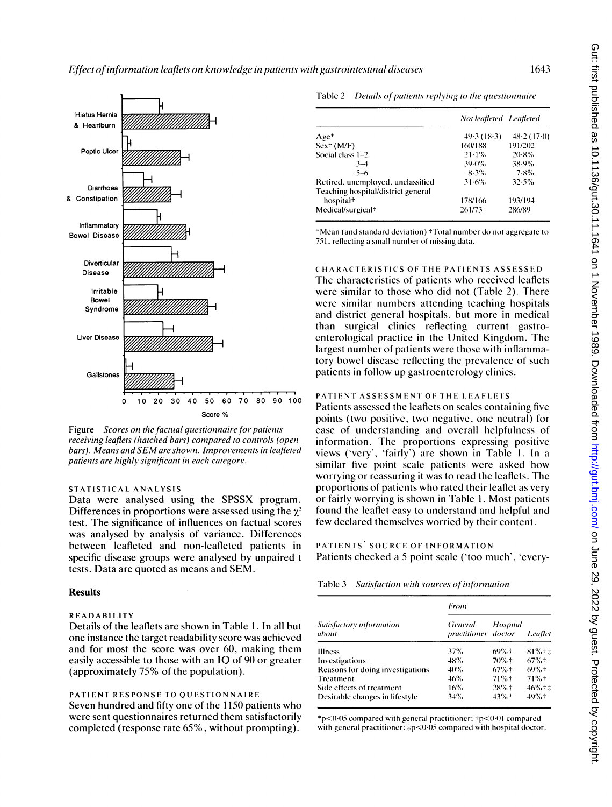

Figure Scores on the factual questionnaire for patients receiving leaflets (hatched bars) compared to controls (open bars). Means and SEM are shown. Improvements in leafleted patients are highly significant in each category.

## STATISTICAL ANALYSIS

Data were analysed using the SPSSX program. Differences in proportions were assessed using the  $\gamma^2$ test. The significance of influences on factual scores was analysed by analysis of variance. Differences between leafleted and non-leafleted patients in specific disease groups were analysed by unpaired <sup>t</sup> tests. Data are quoted as means and SEM.

## Results

## READABILITY

Details of the leaflets are shown in Table 1. In all but one instance the target readability score was achieved and for most the score was over 60, making them easily accessible to those with an IQ of 90 or greater (approximately 75% of the population).

## PATIENT RESPONSE TO QUESTIONNAIRE Seven hundred and fifty one of the <sup>1150</sup> patients who were sent questionnaires returned them satisfactorily completed (response rate 65%, without prompting).

|                                    | Not leafleted - Leafleted |            |
|------------------------------------|---------------------------|------------|
| $Age*$                             | 49.3(18.3)                | 48.2(17.0) |
| $Sex+ (M/F)$                       | 160/188                   | 191/202    |
| Social class 1-2                   | 21.1%                     | 20.8%      |
| $3 - 4$                            | 39.0%                     | 38.9%      |
| $5 - 6$                            | 8.3%                      | 7.8%       |
| Retired, unemployed, unclassified  | 31.6%                     | 32.5%      |
| Teaching hospital/district general |                           |            |
| hospital <sup>†</sup>              | 178/166                   | 193/194    |
| Medical/surgical <sup>+</sup>      | 261/73                    | 286/89     |

\*Mean (and standard deviation) †Total number do not aggregate to 751, reflecting a small number of missing data.

CHARACTERISTICS OF THE PATIENTS ASSESSED. The characteristics of patients who received leaflets were similar to those who did not (Table 2). There were similar numbers attending teaching hospitals and district general hospitals, but more in medical than surgical clinics reflecting current gastroenterological practice in the United Kingdom. The largest number of patients were those with inflammatory bowel disease reflecting the prevalence of such

## patients in follow up gastroenterology clinics. PATIENT ASSESSMENT OF THE LEAFLETS

Patients assessed the leaflets on scales containing five points (two positive, two negative, one neutral) for ease of understanding and overall helpfulness of information. The proportions expressing positive views ('very', 'fairly') are shown in Table 1. In a similar five point scale patients were asked how worrying or reassuring it was to read the leaflets. The proportions of patients who rated their leaflet as very or fairly worrying is shown in Table 1. Most patients found the leaflet easy to understand and helpful and few declared themselves worried by their content.

## PATIENTS' SOURCE OF INFORMATION Patients checked a 5 point scale ('too much', 'evcry-

| Table 3 | Satisfaction with sources of information |  |  |  |  |
|---------|------------------------------------------|--|--|--|--|
|---------|------------------------------------------|--|--|--|--|

|                                   | From                           |                    |                    |  |
|-----------------------------------|--------------------------------|--------------------|--------------------|--|
| Satisfactory information<br>about | General<br>practitioner doctor | Hospital           | Leaflet            |  |
| <b>Illness</b>                    | 37%                            | $69%$ <sup>+</sup> | $81%$ + ±          |  |
| Investigations                    | 48%                            | $70%$ +            | $67%$ <sup>+</sup> |  |
| Reasons for doing investigations  | 40%                            | $67%$ <sup>+</sup> | $69%$ <sup>+</sup> |  |
| Treatment                         | 46%                            | $71%$ <sup>+</sup> | $71%$ +            |  |
| Side effects of treatment         | 16%                            | $28%$ <sup>+</sup> | $46\%$ † ±         |  |
| Desirable changes in lifestyle    | 34%                            | $43\%$ *           | $49%$ +            |  |

 $p$ <0.05 compared with general practitioner;  $tp$ <0.01 compared with general practitioner;  $\frac{1}{2}p<0.05$  compared with hospital doctor.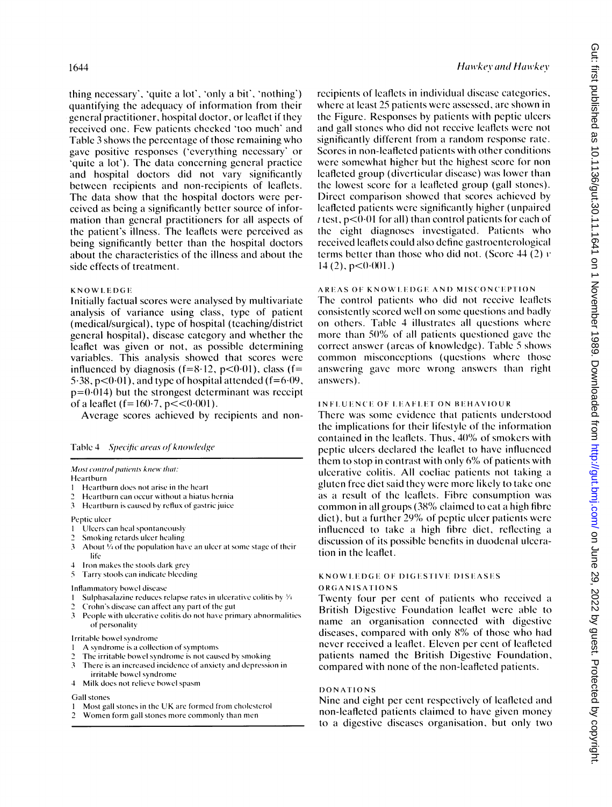thing necessary', 'quite a lot', 'only a bit', 'nothing') quantifying the adequacy of information from their general practitioner, hospital doctor, or leaflet if they received one. Few patients checked 'too much' and Table 3 shows the percentage of those remaining who gave positive responses ('everything necessary' or 'quite a lot'). The data concerning general practice and hospital doctors did not vary significantly between recipients and non-recipients of leaflets. The data show that the hospital doctors were perceived as being a significantly better source of information than general practitioners for all aspects of the patient's illness. The leaflets were perceived as being significantly better than the hospital doctors about the characteristics of the illness and about the side effects of treatment.

### KNOWLEDGE

Initially factual scores were analysed by multivariate analysis of variance using class, type of patient (medical/surgical), type of hospital (teaching/district general hospital), disease category and whether the leaflet was given or not, as possible determining variables. This analysis showed that scores were influenced by diagnosis ( $f=8.12$ ,  $p<0.01$ ), class ( $f=$ 5.38,  $p<0.01$ , and type of hospital attended ( $f=6.09$ ,  $p=0.014$ ) but the strongest determinant was receipt of a leaflet ( $f = 160.7$ ,  $p < 0.001$ ).

Average scores achieved by recipients and non-

| Table 4 | Specific areas of knowledge |  |
|---------|-----------------------------|--|
|         |                             |  |

#### Most control patients knew that:

#### Heartburn

- 1 Heartburn does not arise in the heart
- Heartburn can occur without a hiatus hernia
- $\mathcal{E}$ Heartburn is caused by reflux of gastric juice

#### Peptic ulcer

- Ulcers can heal spontaneously -1
- Smoking retards ulcer healing
- $\mathbf{3}$ About  $\overline{V}_4$  of the population have an ulcer at some stage of their life
- Iron makes the stools dark grey  $\Delta$
- $\overline{\mathbf{S}}$ Tarry stools can indicate bleeding

#### Inflammatory bowel disease

- Sulphasalazine reduces relapse rates in ulcerative colitis by 1/4
- Crohn's disease can affect any part of the gut
- $3<sup>7</sup>$ People with ulcerative colitis do not have primary abnormalities of personality

## Irritable bowel syndrome

- A syndrome is a collection of symptoms
- The irritable bowel syndrome is not caused by smoking 3
- There is an increased incidence of anxiety and depression in irritable bowel syndrome
- $\overline{4}$ Milk does not relieve bowel spasm

## **Gall** stones

- Most gall stones in the UK are formed from cholesterol 1
- $\overline{c}$ Women form gall stones more commonly than men

recipients of leaflets in individual disease categories, where at least 25 patients were assessed, are shown in the Figure. Responses by patients with peptic ulcers and gall stones who did not receive leaflets were not significantly different from a random response rate. Scores in non-leafleted patients with other conditions were somewhat higher but the highest score for non leafleted group (diverticular disease) was lower than the lowest score for a leafleted group (gall stones). Direct comparison showed that scores achieved by leafleted patients were significantly higher (unpaired  $t$  test,  $p<0.01$  for all) than control patients for each of the eight diagnoses investigated. Patients who received leaflets could also define gastroenterological terms better than those who did not. (Score 44 (2)  $\nu$  $14(2)$ ,  $p < 0.001$ .)

## **AREAS OF KNOWLEDGE AND MISCONCEPTION**

The control patients who did not receive leaflets consistently scored well on some questions and badly on others. Table 4 illustrates all questions where more than 50% of all patients questioned gave the correct answer (areas of knowledge). Table 5 shows common misconceptions (questions where those answering gave more wrong answers than right answers).

## **INFLUENCE OF LEAFLET ON BEHAVIOUR**

There was some evidence that patients understood the implications for their lifestyle of the information contained in the leaflets. Thus, 40% of smokers with peptic ulcers declared the leaflet to have influenced them to stop in contrast with only 6% of patients with ulcerative colitis. All coeliac patients not taking a gluten free diet said they were more likely to take one as a result of the leaflets. Fibre consumption was common in all groups (38% claimed to eat a high fibre diet), but a further 29% of peptic ulcer patients were influenced to take a high fibre diet, reflecting a discussion of its possible benefits in duodenal ulceration in the leaflet.

## **KNOWLEDGE OF DIGESTIVE DISEASES**

## ORGANISATIONS

Twenty four per cent of patients who received a British Digestive Foundation leaflet were able to name an organisation connected with digestive diseases, compared with only 8% of those who had never received a leaflet. Eleven per cent of leafleted patients named the British Digestive Foundation, compared with none of the non-leafleted patients.

## **DONATIONS**

Nine and eight per cent respectively of leafleted and non-leafleted patients claimed to have given money to a digestive diseases organisation, but only two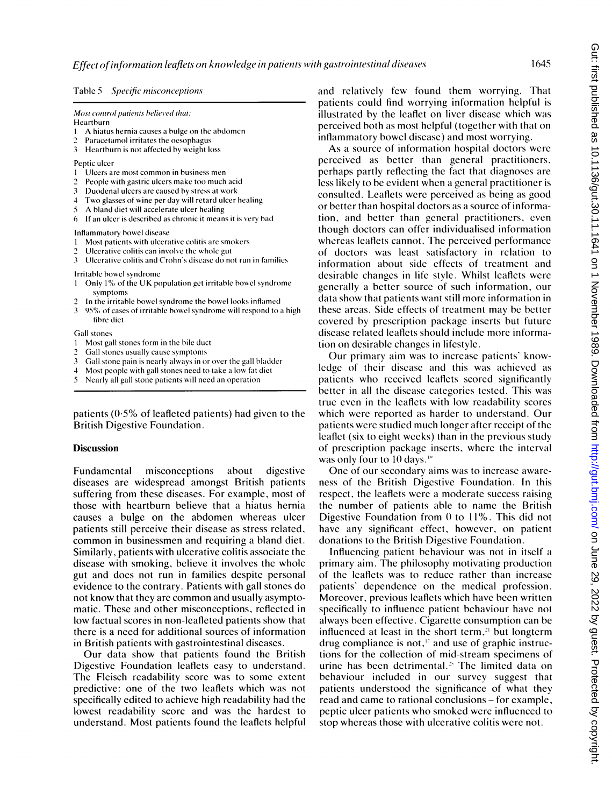## Table 5 Specific misconceptions

Most control patients believed that:

Heartburn

- A hiatus hernia causes a bulge on the abdomen
- 2 Paracetamol irritates the oesopbagus
- 3 Heartburn is not affected by weight loss

Peptic ulcer

- <sup>I</sup> Ulcers are most common in business men
- 2 People with gastric ulcers make too much acid
- 3 Duodenal ulcers are caused by stress at work
- 4 Two glasses of wine per day will retard ulcer healing<br>5 A bland diet will accelerate ulcer healing
- <sup>5</sup> A bland diet will accelerate ulcer healing
- $6$  If an ulcer is described as chronic it means it is very bad

Inflammatory bowel disease

- <sup>I</sup> Most patients with ulcerative colitis are smokers
- Ulcerative colitis can involve the whole gut
- 3 Ulcerative colitis and Crohn's disease do not run in families

Irritable bowel syndrome

- 1 Only 1% of the UK population get irritable bowel syndrome symptoms
- 2 In the irritable bowel syndrome the bowel looks inflamed<br>3 95% of cases of irritable bowel syndrome will respond to a
- 95% of cases of irritable bowel syndrome will respond to a high fihbre diet

Gall stones

- 1 Most gall stones form in the bile duct<br>2 Gall stones usually cause symptoms
- 2 Gall stones usually cause symptoms<br>3 Gall stone pain is nearly always in or
- Gall stone pain is nearly always in or over the gall bladder
- 4 Most people with gall stones need to take a low fat diet
- Nearly all gall stone patients will need an operation

patients  $(0.5\%$  of leafleted patients) had given to the British Digestive Foundation.

#### **Discussion**

Fundamental misconceptions about digestive diseases are widespread amongst British patients suffering from these diseases. For example, most of those with heartburn believe that a hiatus hernia causes a bulge on the abdomen whereas ulcer patients still perceive their disease as stress related, common in businessmen and requiring <sup>a</sup> bland diet. Similarly, patients with ulcerative colitis associate the disease with smoking, believe it involves the whole gut and does not run in families despite personal evidence to the contrary. Patients with gall stones do not know that they are common and usually asymptomatic. These and other misconceptions, reflected in low factual scores in non-leafleted patients show that there is a need for additional sources of information in British patients with gastrointestinal diseases.

Our data show that patients found the British Digestive Foundation leaflets easy to understand. The Fleisch readability score was to some extent predictive: one of the two leaflets which was not specifically edited to achieve high readability had the lowest readability score and was the hardest to understand. Most patients found the leaflets helpful and relatively few found them worrying. That patients could find worrying information helpful is illustrated by the leaflet on liver disease which was perceived both as most helpful (together with that on inflammatory bowel disease) and most worrying.

As a source of information hospital doctors were perceived as better than general practitioners, perhaps partly reflecting the fact that diagnoses are less likely to be evident when a general practitioner is consulted. Leaflets were perceived as being as good or better than hospital doctors as a source of information, and better than general practitioners, even though doctors can offer individualised information whereas leaflets cannot. The perceived performance of doctors was least satisfactory in relation to information about side effects of treatment and desirable changes in life style. Whilst leaflets were generally a better source of such information, our data show that patients want still more information in these areas. Side effects of treatment may be better covered by prescription package inserts but future disease related leaflets should include more information on desirable changes in lifestyle.

Our primary aim was to increase patients' knowledge of their disease and this was achieved as patients who received leaflets scored significantly better in all the disease categories tested. This was true even in the leaflets with low readability scores which were reported as harder to understand. Our patients were studied much longer after receipt of the leaflet (six to eight weeks) than in the previous study of prescription package inserts, where the interval was only four to 10 days.<sup>19</sup>

One of our secondary aims was to increase awareness of the British Digestive Foundation. In this respect, the leaflets were a moderate success raising the number of patients able to name the British Digestive Foundation from  $0$  to  $11\%$ . This did not have any significant effect, however, on patient donations to the British Digestive Foundation.

Influencing patient behaviour was not in itself a primary aim. The philosophy motivating production of the leaflets was to reduce rather than increase patients' dependence on the medical profession. Moreover, previous leaflets which have been written specifically to influence patient behaviour have not always been effective. Cigarette consumption can be influenced at least in the short term, $21$  but longterm drug compliance is not,'' and use of graphic instructions for the collection of mid-stream specimens of urine has been detrimental.<sup>25</sup> The limited data on behaviour included in our survey suggest that patients understood the significance of what they read and came to rational conclusions - for example, peptic ulcer patients who smoked were influenced to stop whereas those with ulcerative colitis were not.